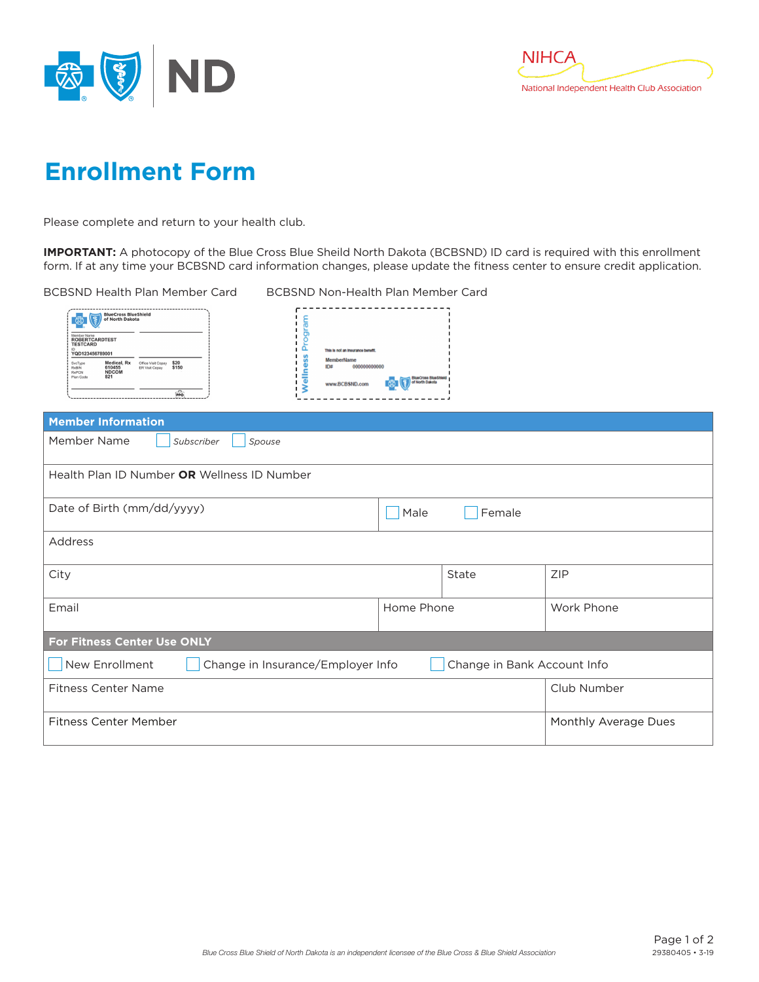



## **Enrollment Form**

Please complete and return to your health club.

**IMPORTANT:** A photocopy of the Blue Cross Blue Sheild North Dakota (BCBSND) ID card is required with this enrollment form. If at any time your BCBSND card information changes, please update the fitness center to ensure credit application.

BCBSND Health Plan Member Card BCBSND Non-Health Plan Member Card

| <b>BlueCross BlueShield</b><br>෯<br>of North Dakota                        |                                              |                                      |               |   |  |                                                                         |  |
|----------------------------------------------------------------------------|----------------------------------------------|--------------------------------------|---------------|---|--|-------------------------------------------------------------------------|--|
| Member Name<br><b>ROBERTCARDTEST</b><br><b>TESTCARD</b><br>YQD123456789001 |                                              |                                      |               | u |  | This is not an insurance benefit.                                       |  |
| SvcType<br><b>RxBIN</b><br><b>RxPCN</b><br>Plan Code                       | Medical, Rx<br>610455<br><b>NDCOM</b><br>821 | Office Visit Copay<br>ER Visit Copay | \$20<br>\$150 |   |  | <b>MemberName</b><br>ID#<br>000000000000<br><b>BlueCross BlueShield</b> |  |
|                                                                            |                                              |                                      | $\frac{1}{2}$ |   |  | of North Dakota<br>www.BCBSND.com                                       |  |

| <b>Member Information</b>                                                          |                      |       |            |  |  |  |
|------------------------------------------------------------------------------------|----------------------|-------|------------|--|--|--|
| Member Name<br>Subscriber<br>Spouse                                                |                      |       |            |  |  |  |
| Health Plan ID Number OR Wellness ID Number                                        |                      |       |            |  |  |  |
| Date of Birth (mm/dd/yyyy)                                                         | Male<br>Female       |       |            |  |  |  |
| Address                                                                            |                      |       |            |  |  |  |
| City                                                                               |                      | State | <b>ZIP</b> |  |  |  |
| Email                                                                              | Home Phone           |       | Work Phone |  |  |  |
| For Fitness Center Use ONLY                                                        |                      |       |            |  |  |  |
| New Enrollment<br>Change in Insurance/Employer Info<br>Change in Bank Account Info |                      |       |            |  |  |  |
| <b>Fitness Center Name</b>                                                         | Club Number          |       |            |  |  |  |
| <b>Fitness Center Member</b>                                                       | Monthly Average Dues |       |            |  |  |  |